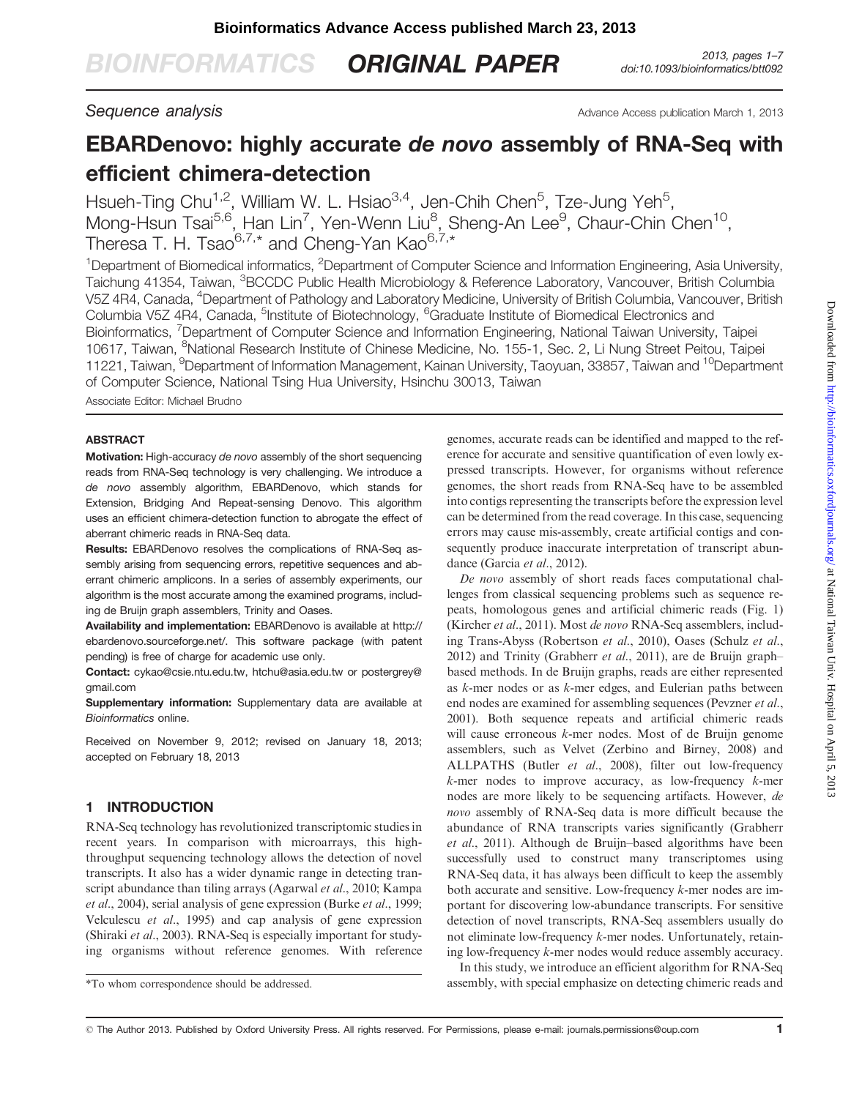# **BIOINFORMATICS ORIGINAL PAPER** 2013, pages 1-7

Sequence analysis **Sequence** analysis Advance Access publication March 1, 2013

# EBARDenovo: highly accurate de novo assembly of RNA-Seq with efficient chimera-detection

Hsueh-Ting Chu<sup>1,2</sup>, William W. L. Hsiao<sup>3,4</sup>, Jen-Chih Chen<sup>5</sup>, Tze-Jung Yeh<sup>5</sup>, Mong-Hsun Tsai<sup>5,6</sup>, Han Lin<sup>7</sup>, Yen-Wenn Liu<sup>8</sup>, Sheng-An Lee<sup>9</sup>, Chaur-Chin Chen<sup>10</sup>, Theresa T. H. Tsao $^{6,7,*}$  and Cheng-Yan Kao $^{6,7,*}$ 

<sup>1</sup>Department of Biomedical informatics, <sup>2</sup>Department of Computer Science and Information Engineering, Asia University, Taichung 41354, Taiwan, <sup>3</sup>BCCDC Public Health Microbiology & Reference Laboratory, Vancouver, British Columbia V5Z 4R4, Canada, <sup>4</sup>Department of Pathology and Laboratory Medicine, University of British Columbia, Vancouver, British Columbia V5Z 4R4, Canada, <sup>5</sup>Institute of Biotechnology, <sup>6</sup>Graduate Institute of Biomedical Electronics and Bioinformatics, <sup>7</sup>Department of Computer Science and Information Engineering, National Taiwan University, Taipei 10617, Taiwan, <sup>8</sup>National Research Institute of Chinese Medicine, No. 155-1, Sec. 2, Li Nung Street Peitou, Taipei 11221, Taiwan, <sup>9</sup>Department of Information Management, Kainan University, Taoyuan, 33857, Taiwan and <sup>10</sup>Department of Computer Science, National Tsing Hua University, Hsinchu 30013, Taiwan

Associate Editor: Michael Brudno

#### **ABSTRACT**

Motivation: High-accuracy de novo assembly of the short sequencing reads from RNA-Seq technology is very challenging. We introduce a de novo assembly algorithm, EBARDenovo, which stands for Extension, Bridging And Repeat-sensing Denovo. This algorithm uses an efficient chimera-detection function to abrogate the effect of aberrant chimeric reads in RNA-Seq data.

Results: EBARDenovo resolves the complications of RNA-Seq assembly arising from sequencing errors, repetitive sequences and aberrant chimeric amplicons. In a series of assembly experiments, our algorithm is the most accurate among the examined programs, including de Bruijn graph assemblers, Trinity and Oases.

Availability and implementation: EBARDenovo is available at [http://](http://ebardenovo.sourceforge.net/) [ebardenovo.sourceforge.net/](http://ebardenovo.sourceforge.net/). This software package (with patent pending) is free of charge for academic use only.

Contact: [cykao@csie.ntu.edu.tw](mailto:cykao@csie.ntu.edu.tw), [htchu@asia.edu.tw](mailto:htchu@asia.edu.tw) or [postergrey@](mailto:postergrey@gmail.com) [gmail.com](mailto:postergrey@gmail.com)

Supplementary information: [Supplementary data](http://bioinformatics.oxfordjournals.org/lookup/suppl/doi:10.1093/bioinformatics/btt092/-/DC1) are available at Bioinformatics online.

Received on November 9, 2012; revised on January 18, 2013; accepted on February 18, 2013

# 1 INTRODUCTION

RNA-Seq technology has revolutionized transcriptomic studies in recent years. In comparison with microarrays, this highthroughput sequencing technology allows the detection of novel transcripts. It also has a wider dynamic range in detecting tran-script abundance than tiling arrays ([Agarwal](#page-6-0) et al., 2010; [Kampa](#page-6-0) et al[., 2004\)](#page-6-0), serial analysis of gene expression (Burke et al[., 1999](#page-6-0); [Velculescu](#page-6-0) et al., 1995) and cap analysis of gene expression ([Shiraki](#page-6-0) et al., 2003). RNA-Seq is especially important for studying organisms without reference genomes. With reference

genomes, accurate reads can be identified and mapped to the reference for accurate and sensitive quantification of even lowly expressed transcripts. However, for organisms without reference genomes, the short reads from RNA-Seq have to be assembled into contigs representing the transcripts before the expression level can be determined from the read coverage. In this case, sequencing errors may cause mis-assembly, create artificial contigs and consequently produce inaccurate interpretation of transcript abun-dance [\(Garcia](#page-6-0) et al., 2012).

De novo assembly of short reads faces computational challenges from classical sequencing problems such as sequence repeats, homologous genes and artificial chimeric reads ([Fig. 1\)](#page-1-0) ([Kircher](#page-6-0) et al., 2011). Most de novo RNA-Seq assemblers, including Trans-Abyss ([Robertson](#page-6-0) et al., 2010), Oases [\(Schulz](#page-6-0) et al., [2012](#page-6-0)) and Trinity [\(Grabherr](#page-6-0) et al., 2011), are de Bruijn graph– based methods. In de Bruijn graphs, reads are either represented as k-mer nodes or as k-mer edges, and Eulerian paths between end nodes are examined for assembling sequences ([Pevzner](#page-6-0) et al., [2001](#page-6-0)). Both sequence repeats and artificial chimeric reads will cause erroneous *k*-mer nodes. Most of de Bruijn genome assemblers, such as Velvet ([Zerbino and Birney, 2008](#page-6-0)) and ALLPATHS (Butler et al[., 2008\)](#page-6-0), filter out low-frequency  $k$ -mer nodes to improve accuracy, as low-frequency  $k$ -mer nodes are more likely to be sequencing artifacts. However, de novo assembly of RNA-Seq data is more difficult because the abundance of RNA transcripts varies significantly ([Grabherr](#page-6-0) et al[., 2011\)](#page-6-0). Although de Bruijn–based algorithms have been successfully used to construct many transcriptomes using RNA-Seq data, it has always been difficult to keep the assembly both accurate and sensitive. Low-frequency k-mer nodes are important for discovering low-abundance transcripts. For sensitive detection of novel transcripts, RNA-Seq assemblers usually do not eliminate low-frequency k-mer nodes. Unfortunately, retaining low-frequency k-mer nodes would reduce assembly accuracy.

In this study, we introduce an efficient algorithm for RNA-Seq \*To whom correspondence should be addressed. assembly, with special emphasize on detecting chimeric reads and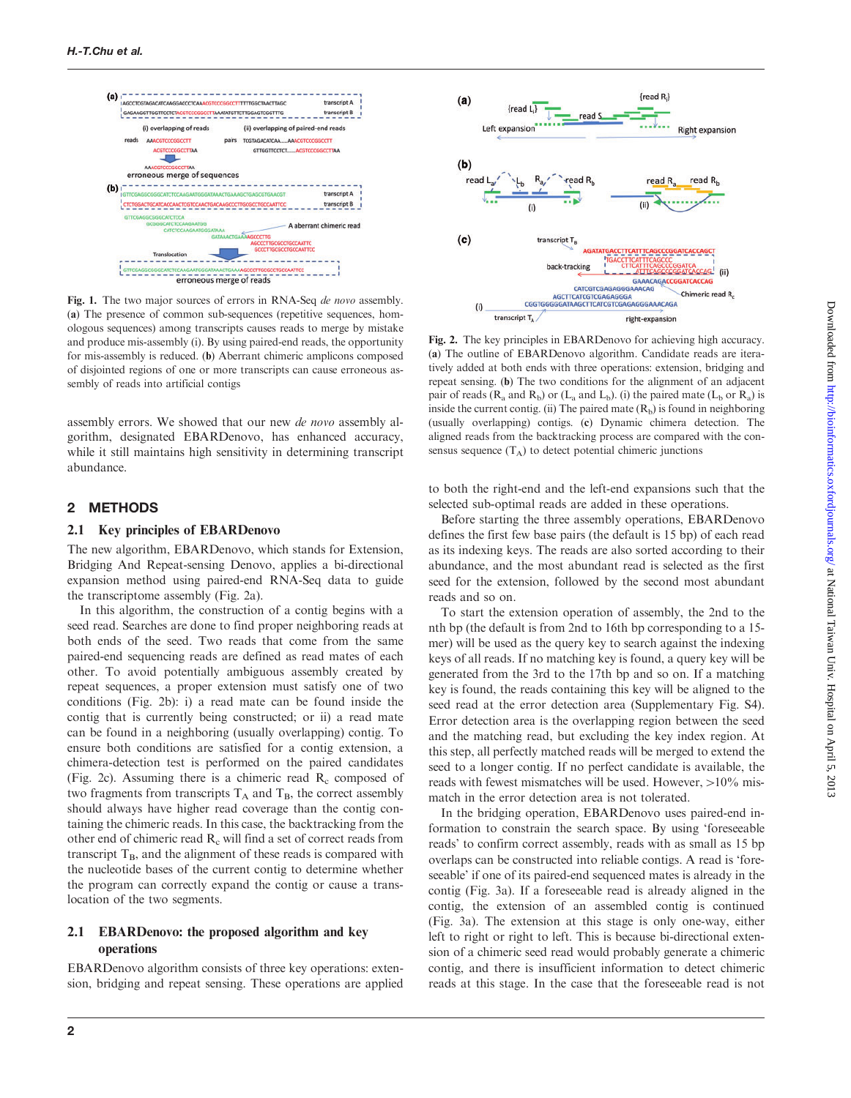<span id="page-1-0"></span>

Fig. 1. The two major sources of errors in RNA-Seq *de novo* assembly. (a) The presence of common sub-sequences (repetitive sequences, homologous sequences) among transcripts causes reads to merge by mistake and produce mis-assembly (i). By using paired-end reads, the opportunity for mis-assembly is reduced. (b) Aberrant chimeric amplicons composed of disjointed regions of one or more transcripts can cause erroneous assembly of reads into artificial contigs

assembly errors. We showed that our new de novo assembly algorithm, designated EBARDenovo, has enhanced accuracy, while it still maintains high sensitivity in determining transcript abundance.

#### 2 METHODS

#### 2.1 Key principles of EBARDenovo

The new algorithm, EBARDenovo, which stands for Extension, Bridging And Repeat-sensing Denovo, applies a bi-directional expansion method using paired-end RNA-Seq data to guide the transcriptome assembly (Fig. 2a).

In this algorithm, the construction of a contig begins with a seed read. Searches are done to find proper neighboring reads at both ends of the seed. Two reads that come from the same paired-end sequencing reads are defined as read mates of each other. To avoid potentially ambiguous assembly created by repeat sequences, a proper extension must satisfy one of two conditions (Fig. 2b): i) a read mate can be found inside the contig that is currently being constructed; or ii) a read mate can be found in a neighboring (usually overlapping) contig. To ensure both conditions are satisfied for a contig extension, a chimera-detection test is performed on the paired candidates (Fig. 2c). Assuming there is a chimeric read  $R_c$  composed of two fragments from transcripts  $T_A$  and  $T_B$ , the correct assembly should always have higher read coverage than the contig containing the chimeric reads. In this case, the backtracking from the other end of chimeric read R<sub>c</sub> will find a set of correct reads from transcript  $T_B$ , and the alignment of these reads is compared with the nucleotide bases of the current contig to determine whether the program can correctly expand the contig or cause a translocation of the two segments.

#### 2.1 EBARDenovo: the proposed algorithm and key operations

EBARDenovo algorithm consists of three key operations: extension, bridging and repeat sensing. These operations are applied



Fig. 2. The key principles in EBARDenovo for achieving high accuracy. (a) The outline of EBARDenovo algorithm. Candidate reads are iteratively added at both ends with three operations: extension, bridging and repeat sensing. (b) The two conditions for the alignment of an adjacent pair of reads ( $R_a$  and  $R_b$ ) or ( $L_a$  and  $L_b$ ). (i) the paired mate ( $L_b$  or  $R_a$ ) is inside the current contig. (ii) The paired mate  $(R_b)$  is found in neighboring (usually overlapping) contigs. (c) Dynamic chimera detection. The aligned reads from the backtracking process are compared with the consensus sequence  $(T_A)$  to detect potential chimeric junctions

to both the right-end and the left-end expansions such that the selected sub-optimal reads are added in these operations.

Before starting the three assembly operations, EBARDenovo defines the first few base pairs (the default is 15 bp) of each read as its indexing keys. The reads are also sorted according to their abundance, and the most abundant read is selected as the first seed for the extension, followed by the second most abundant reads and so on.

To start the extension operation of assembly, the 2nd to the nth bp (the default is from 2nd to 16th bp corresponding to a 15 mer) will be used as the query key to search against the indexing keys of all reads. If no matching key is found, a query key will be generated from the 3rd to the 17th bp and so on. If a matching key is found, the reads containing this key will be aligned to the seed read at the error detection area [\(Supplementary Fig. S4](http://bioinformatics.oxfordjournals.org/lookup/suppl/doi:10.1093/bioinformatics/btt092/-/DC1)). Error detection area is the overlapping region between the seed and the matching read, but excluding the key index region. At this step, all perfectly matched reads will be merged to extend the seed to a longer contig. If no perfect candidate is available, the reads with fewest mismatches will be used. However,  $>10\%$  mismatch in the error detection area is not tolerated.

In the bridging operation, EBARDenovo uses paired-end information to constrain the search space. By using 'foreseeable reads' to confirm correct assembly, reads with as small as 15 bp overlaps can be constructed into reliable contigs. A read is 'foreseeable' if one of its paired-end sequenced mates is already in the contig [\(Fig. 3](#page-2-0)a). If a foreseeable read is already aligned in the contig, the extension of an assembled contig is continued [\(Fig. 3](#page-2-0)a). The extension at this stage is only one-way, either left to right or right to left. This is because bi-directional extension of a chimeric seed read would probably generate a chimeric contig, and there is insufficient information to detect chimeric reads at this stage. In the case that the foreseeable read is not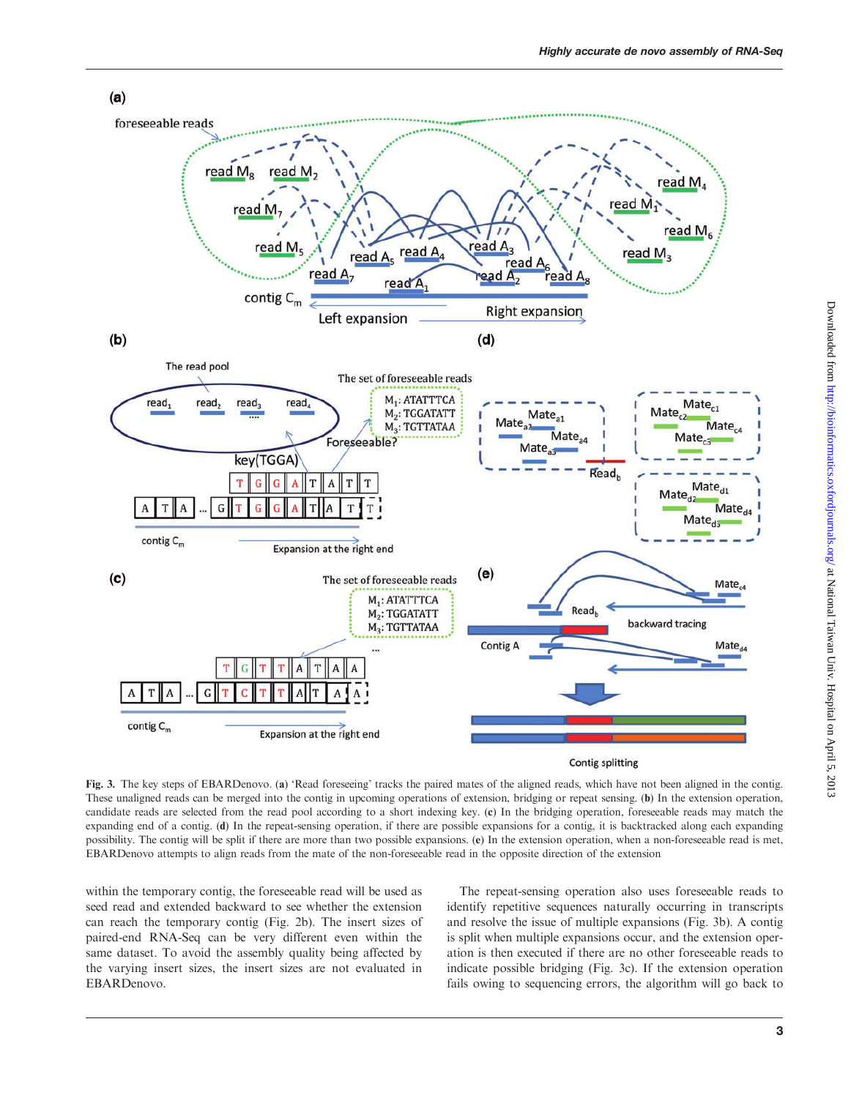<span id="page-2-0"></span>

**Contig splitting** 

Fig. 3. The key steps of EBARDenovo. (a) 'Read foreseeing' tracks the paired mates of the aligned reads, which have not been aligned in the contig. These unaligned reads can be merged into the contig in upcoming operations of extension, bridging or repeat sensing. (b) In the extension operation, candidate reads are selected from the read pool according to a short indexing key. (c) In the bridging operation, foreseeable reads may match the expanding end of a contig. (d) In the repeat-sensing operation, if there are possible expansions for a contig, it is backtracked along each expanding possibility. The contig will be split if there are more than two possible expansions. (e) In the extension operation, when a non-foreseeable read is met, EBARDenovo attempts to align reads from the mate of the non-foreseeable read in the opposite direction of the extension

within the temporary contig, the foreseeable read will be used as seed read and extended backward to see whether the extension can reach the temporary contig [\(Fig. 2b](#page-1-0)). The insert sizes of paired-end RNA-Seq can be very different even within the same dataset. To avoid the assembly quality being affected by the varying insert sizes, the insert sizes are not evaluated in EBARDenovo.

The repeat-sensing operation also uses foreseeable reads to identify repetitive sequences naturally occurring in transcripts and resolve the issue of multiple expansions (Fig. 3b). A contig is split when multiple expansions occur, and the extension operation is then executed if there are no other foreseeable reads to indicate possible bridging (Fig. 3c). If the extension operation fails owing to sequencing errors, the algorithm will go back to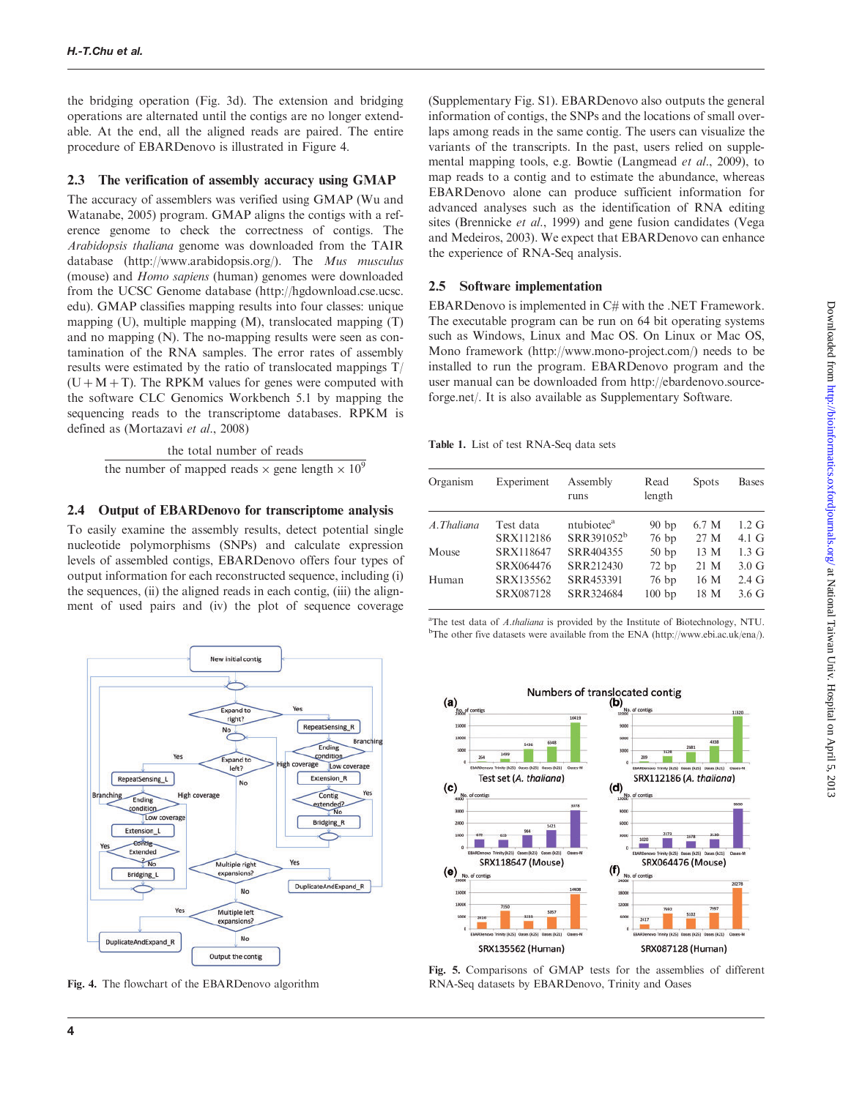<span id="page-3-0"></span>the bridging operation ([Fig. 3](#page-2-0)d). The extension and bridging operations are alternated until the contigs are no longer extendable. At the end, all the aligned reads are paired. The entire procedure of EBARDenovo is illustrated in Figure 4.

# 2.3 The verification of assembly accuracy using GMAP

The accuracy of assemblers was verified using GMAP ([Wu and](#page-6-0) [Watanabe, 2005](#page-6-0)) program. GMAP aligns the contigs with a reference genome to check the correctness of contigs. The Arabidopsis thaliana genome was downloaded from the TAIR database [\(http://www.arabidopsis.org/](http://www.arabidopsis.org/)). The Mus musculus (mouse) and Homo sapiens (human) genomes were downloaded from the UCSC Genome database ([http://hgdownload.cse.ucsc.](http://hgdownload.cse.ucsc.edu) [edu\)](http://hgdownload.cse.ucsc.edu). GMAP classifies mapping results into four classes: unique mapping (U), multiple mapping (M), translocated mapping (T) and no mapping (N). The no-mapping results were seen as contamination of the RNA samples. The error rates of assembly results were estimated by the ratio of translocated mappings T/  $(U + M + T)$ . The RPKM values for genes were computed with the software CLC Genomics Workbench 5.1 by mapping the sequencing reads to the transcriptome databases. RPKM is defined as [\(Mortazavi](#page-6-0) et al., 2008)

> the total number of reads the number of mapped reads  $\times$  gene length  $\times$  10<sup>9</sup>

# 2.4 Output of EBARDenovo for transcriptome analysis

To easily examine the assembly results, detect potential single nucleotide polymorphisms (SNPs) and calculate expression levels of assembled contigs, EBARDenovo offers four types of output information for each reconstructed sequence, including (i) the sequences, (ii) the aligned reads in each contig, (iii) the alignment of used pairs and (iv) the plot of sequence coverage



Fig. 4. The flowchart of the EBARDenovo algorithm

[\(Supplementary Fig. S1\)](http://bioinformatics.oxfordjournals.org/lookup/suppl/doi:10.1093/bioinformatics/btt092/-/DC1). EBARDenovo also outputs the general information of contigs, the SNPs and the locations of small overlaps among reads in the same contig. The users can visualize the variants of the transcripts. In the past, users relied on supplemental mapping tools, e.g. Bowtie ([Langmead](#page-6-0) et al., 2009), to map reads to a contig and to estimate the abundance, whereas EBARDenovo alone can produce sufficient information for advanced analyses such as the identification of RNA editing sites ([Brennicke](#page-6-0) *et al.*, 1999) and gene fusion candidates [\(Vega](#page-6-0) [and Medeiros, 2003\)](#page-6-0). We expect that EBARDenovo can enhance the experience of RNA-Seq analysis.

# 2.5 Software implementation

EBARDenovo is implemented in C# with the .NET Framework. The executable program can be run on 64 bit operating systems such as Windows, Linux and Mac OS. On Linux or Mac OS, Mono framework [\(http://www.mono-project.com/](http://www.mono-project.com/)) needs to be installed to run the program. EBARDenovo program and the user manual can be downloaded from [http://ebardenovo.source](http://ebardenovo.sourceforge.net/)[forge.net/](http://ebardenovo.sourceforge.net/). It is also available as Supplementary Software.

Table 1. List of test RNA-Seq data sets

| Organism   | Experiment | Assembly<br>runs       | Read<br>length | <b>Spots</b> | <b>Bases</b>    |
|------------|------------|------------------------|----------------|--------------|-----------------|
| A.Thaliana | Test data  | ntubiotec <sup>a</sup> | 90bp           | 6.7 M        | $1.2 \text{ G}$ |
|            | SRX112186  | SRR391052 <sup>b</sup> | 76 bp          | 27 M         | $4.1\text{ G}$  |
| Mouse      | SRX118647  | SRR404355              | 50bp           | 13 M         | $1.3\text{ G}$  |
|            | SRX064476  | SRR212430              | 72bp           | 21 M         | $3.0\ G$        |
| Human      | SRX135562  | SRR453391              | 76 bp          | 16 M         | $2.4\text{ G}$  |
|            | SRX087128  | SRR324684              | 100bp          | 18 M         | $3.6\text{ G}$  |

<sup>a</sup>The test data of A.thaliana is provided by the Institute of Biotechnology, NTU. <sup>b</sup>The other five datasets were available from the ENA (<http://www.ebi.ac.uk/ena/>).



Fig. 5. Comparisons of GMAP tests for the assemblies of different RNA-Seq datasets by EBARDenovo, Trinity and Oases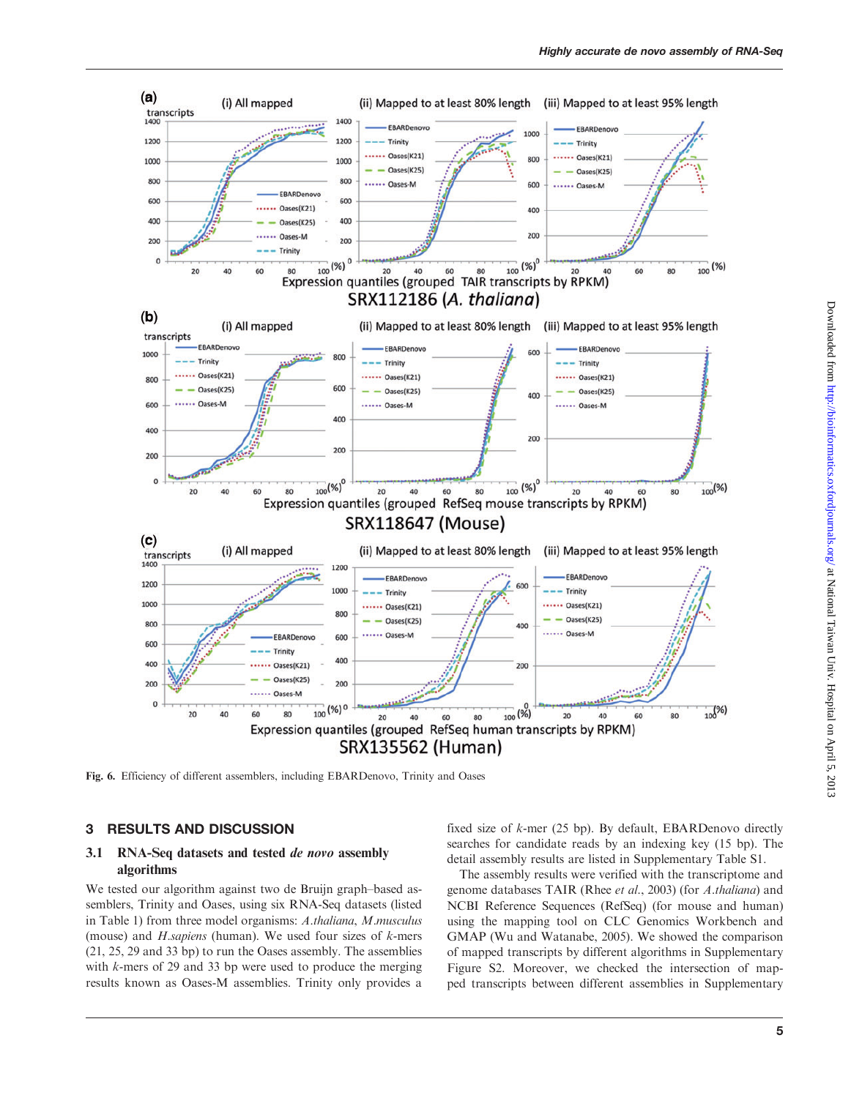<span id="page-4-0"></span>

Fig. 6. Efficiency of different assemblers, including EBARDenovo, Trinity and Oases

#### 3 RESULTS AND DISCUSSION

#### 3.1 RNA-Seq datasets and tested de novo assembly algorithms

We tested our algorithm against two de Bruijn graph–based assemblers, Trinity and Oases, using six RNA-Seq datasets (listed in [Table 1\)](#page-3-0) from three model organisms: A.thaliana, M.musculus (mouse) and  $H$ .sapiens (human). We used four sizes of  $k$ -mers (21, 25, 29 and 33 bp) to run the Oases assembly. The assemblies with *k*-mers of 29 and 33 bp were used to produce the merging results known as Oases-M assemblies. Trinity only provides a fixed size of k-mer (25 bp). By default, EBARDenovo directly searches for candidate reads by an indexing key (15 bp). The detail assembly results are listed in [Supplementary Table S1](http://bioinformatics.oxfordjournals.org/lookup/suppl/doi:10.1093/bioinformatics/btt092/-/DC1).

The assembly results were verified with the transcriptome and genome databases TAIR (Rhee et al[., 2003\)](#page-6-0) (for A.thaliana) and NCBI Reference Sequences (RefSeq) (for mouse and human) using the mapping tool on CLC Genomics Workbench and GMAP ([Wu and Watanabe, 2005\)](#page-6-0). We showed the comparison of mapped transcripts by different algorithms in [Supplementary](http://bioinformatics.oxfordjournals.org/lookup/suppl/doi:10.1093/bioinformatics/btt092/-/DC1) [Figure S2](http://bioinformatics.oxfordjournals.org/lookup/suppl/doi:10.1093/bioinformatics/btt092/-/DC1). Moreover, we checked the intersection of mapped transcripts between different assemblies in [Supplementary](http://bioinformatics.oxfordjournals.org/lookup/suppl/doi:10.1093/bioinformatics/btt092/-/DC1)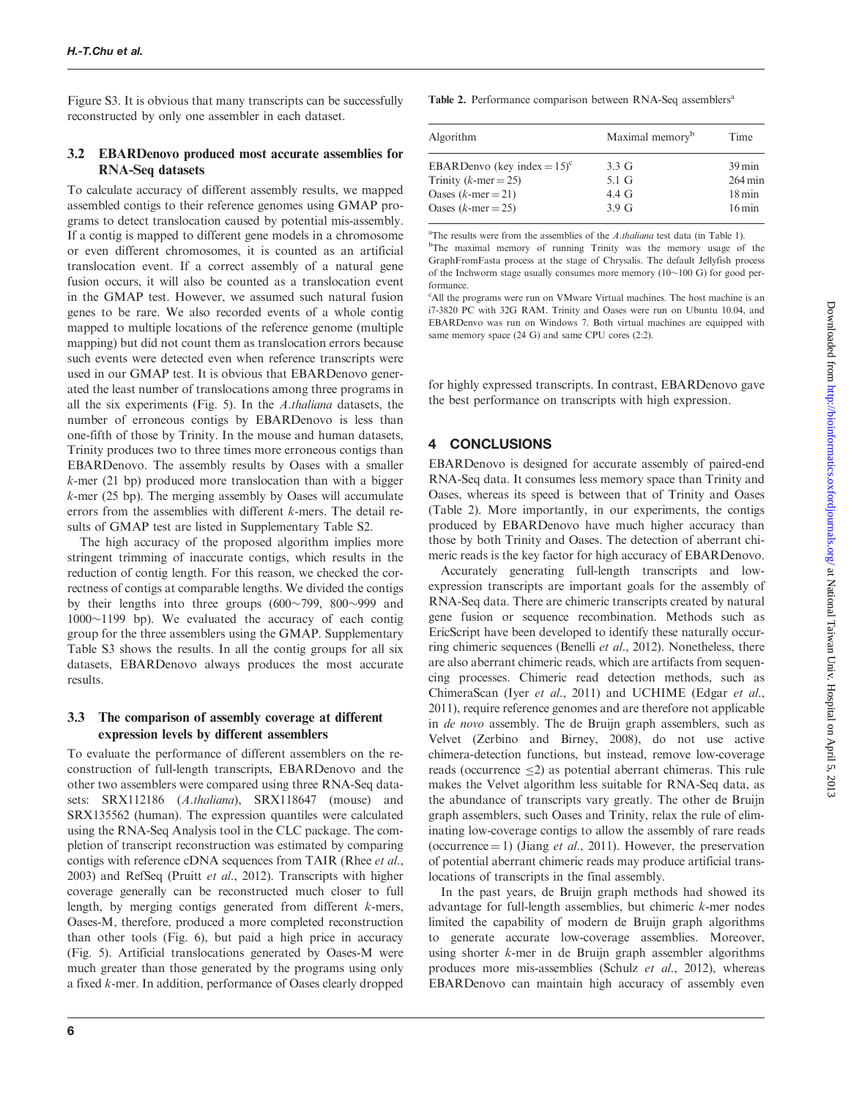[Figure S3.](http://bioinformatics.oxfordjournals.org/lookup/suppl/doi:10.1093/bioinformatics/btt092/-/DC1) It is obvious that many transcripts can be successfully reconstructed by only one assembler in each dataset.

# 3.2 EBARDenovo produced most accurate assemblies for RNA-Seq datasets

To calculate accuracy of different assembly results, we mapped assembled contigs to their reference genomes using GMAP programs to detect translocation caused by potential mis-assembly. If a contig is mapped to different gene models in a chromosome or even different chromosomes, it is counted as an artificial translocation event. If a correct assembly of a natural gene fusion occurs, it will also be counted as a translocation event in the GMAP test. However, we assumed such natural fusion genes to be rare. We also recorded events of a whole contig mapped to multiple locations of the reference genome (multiple mapping) but did not count them as translocation errors because such events were detected even when reference transcripts were used in our GMAP test. It is obvious that EBARDenovo generated the least number of translocations among three programs in all the six experiments ([Fig. 5\)](#page-3-0). In the A.thaliana datasets, the number of erroneous contigs by EBARDenovo is less than one-fifth of those by Trinity. In the mouse and human datasets, Trinity produces two to three times more erroneous contigs than EBARDenovo. The assembly results by Oases with a smaller k-mer (21 bp) produced more translocation than with a bigger  $k$ -mer (25 bp). The merging assembly by Oases will accumulate errors from the assemblies with different k-mers. The detail results of GMAP test are listed in [Supplementary Table S2](http://bioinformatics.oxfordjournals.org/lookup/suppl/doi:10.1093/bioinformatics/btt092/-/DC1).

The high accuracy of the proposed algorithm implies more stringent trimming of inaccurate contigs, which results in the reduction of contig length. For this reason, we checked the correctness of contigs at comparable lengths. We divided the contigs by their lengths into three groups  $(600{\sim}799, 800{\sim}999$  and  $1000^{\circ}$ 1199 bp). We evaluated the accuracy of each contig group for the three assemblers using the GMAP. [Supplementary](http://bioinformatics.oxfordjournals.org/lookup/suppl/doi:10.1093/bioinformatics/btt092/-/DC1) [Table S3](http://bioinformatics.oxfordjournals.org/lookup/suppl/doi:10.1093/bioinformatics/btt092/-/DC1) shows the results. In all the contig groups for all six datasets, EBARDenovo always produces the most accurate results.

#### 3.3 The comparison of assembly coverage at different expression levels by different assemblers

To evaluate the performance of different assemblers on the reconstruction of full-length transcripts, EBARDenovo and the other two assemblers were compared using three RNA-Seq datasets: SRX112186 (A.thaliana), SRX118647 (mouse) and SRX135562 (human). The expression quantiles were calculated using the RNA-Seq Analysis tool in the CLC package. The completion of transcript reconstruction was estimated by comparing contigs with reference cDNA sequences from TAIR [\(Rhee](#page-6-0) et al., [2003\)](#page-6-0) and RefSeq (Pruitt et al[., 2012\)](#page-6-0). Transcripts with higher coverage generally can be reconstructed much closer to full length, by merging contigs generated from different k-mers, Oases-M, therefore, produced a more completed reconstruction than other tools [\(Fig. 6](#page-4-0)), but paid a high price in accuracy [\(Fig. 5](#page-3-0)). Artificial translocations generated by Oases-M were much greater than those generated by the programs using only a fixed k-mer. In addition, performance of Oases clearly dropped

Table 2. Performance comparison between RNA-Seq assemblers<sup>a</sup>

| Algorithm                                  | Maximal memory <sup>b</sup> | Time                 |  |  |
|--------------------------------------------|-----------------------------|----------------------|--|--|
| EBARDenvo (key index = $15$ ) <sup>c</sup> | $3.3 \text{ G}$             | $39 \,\mathrm{min}$  |  |  |
| Trinity $(k$ -mer = 25)                    | 5.1 G                       | $264 \,\mathrm{min}$ |  |  |
| Oases $(k$ -mer = 21)                      | 4.4 G                       | $18 \,\mathrm{min}$  |  |  |
| Oases $(k$ -mer = 25)                      | 3.9 <sub>G</sub>            | $16 \text{min}$      |  |  |

<sup>a</sup>The results were from the assemblies of the  $A.thaliana$  test data (in [Table 1](#page-3-0)). <sup>b</sup>The maximal memory of running Trinity was the memory usage of the GraphFromFasta process at the stage of Chrysalis. The default Jellyfish process of the Inchworm stage usually consumes more memory ( $10~100$  G) for good performance.

<sup>c</sup>All the programs were run on VMware Virtual machines. The host machine is an i7-3820 PC with 32G RAM. Trinity and Oases were run on Ubuntu 10.04, and EBARDenvo was run on Windows 7. Both virtual machines are equipped with same memory space (24 G) and same CPU cores (2:2).

for highly expressed transcripts. In contrast, EBARDenovo gave the best performance on transcripts with high expression.

# 4 CONCLUSIONS

EBARDenovo is designed for accurate assembly of paired-end RNA-Seq data. It consumes less memory space than Trinity and Oases, whereas its speed is between that of Trinity and Oases (Table 2). More importantly, in our experiments, the contigs produced by EBARDenovo have much higher accuracy than those by both Trinity and Oases. The detection of aberrant chimeric reads is the key factor for high accuracy of EBARDenovo.

Accurately generating full-length transcripts and lowexpression transcripts are important goals for the assembly of RNA-Seq data. There are chimeric transcripts created by natural gene fusion or sequence recombination. Methods such as EricScript have been developed to identify these naturally occurring chimeric sequences [\(Benelli](#page-6-0) et al., 2012). Nonetheless, there are also aberrant chimeric reads, which are artifacts from sequencing processes. Chimeric read detection methods, such as ChimeraScan (Iyer et al[., 2011](#page-6-0)) and UCHIME [\(Edgar](#page-6-0) et al., [2011\)](#page-6-0), require reference genomes and are therefore not applicable in de novo assembly. The de Bruijn graph assemblers, such as Velvet [\(Zerbino and Birney, 2008](#page-6-0)), do not use active chimera-detection functions, but instead, remove low-coverage reads (occurrence  $\leq$ 2) as potential aberrant chimeras. This rule makes the Velvet algorithm less suitable for RNA-Seq data, as the abundance of transcripts vary greatly. The other de Bruijn graph assemblers, such Oases and Trinity, relax the rule of eliminating low-coverage contigs to allow the assembly of rare reads (occurrence  $= 1$ ) (Jiang *et al.*, 2011). However, the preservation of potential aberrant chimeric reads may produce artificial translocations of transcripts in the final assembly.

In the past years, de Bruijn graph methods had showed its advantage for full-length assemblies, but chimeric k-mer nodes limited the capability of modern de Bruijn graph algorithms to generate accurate low-coverage assemblies. Moreover, using shorter k-mer in de Bruijn graph assembler algorithms produces more mis-assemblies (Schulz et al[., 2012](#page-6-0)), whereas EBARDenovo can maintain high accuracy of assembly even